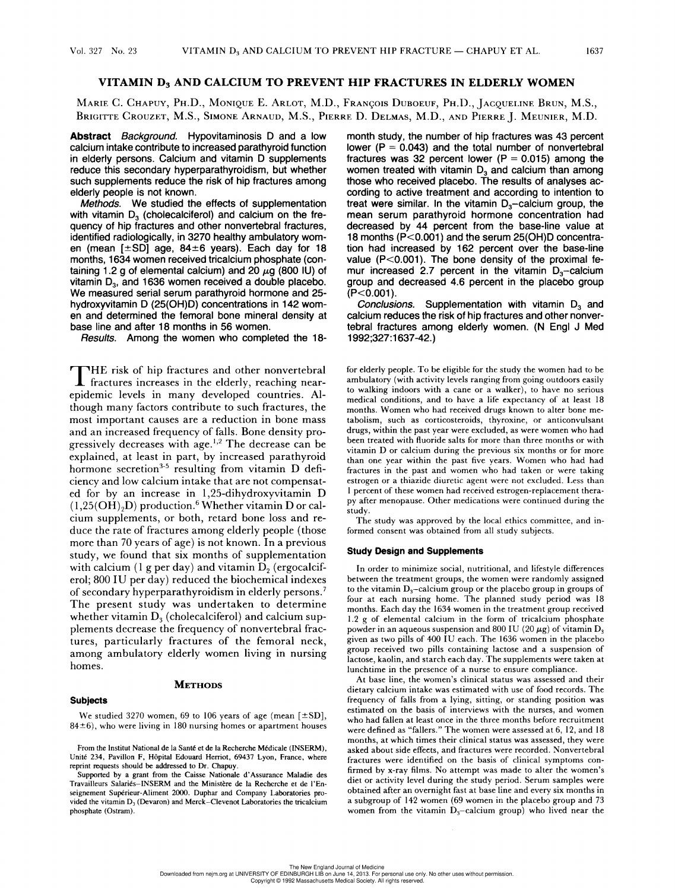# VITAMIN D; AND CALCIUM TO PREVENT HIP FRACTURES IN ELDERLY WOMEN

MarieE C. Cuapuy, Pa.D., Monique E. ARtot, M.D., Francois DuBoeur, Pu.D., JACQUELINE Brun, M.S., BRIGITTE CROUZET, M.S., SIMONE ARNAUD, M.S., PIERRE D. DELMAS, M.D., AND PIERRE J. MEUNIER, M.D.

Abstract Background. Hypovitaminosis D and a low calcium intake contribute to increased parathyroid function in elderly persons. Calcium and vitamin D supplements reduce this secondary hyperparathyroidism, but whether such supplements reduce the risk of hip fractures among elderly people is not known.

Methods. We studied the effects of supplementation with vitamin  $D_3$  (cholecalciferol) and calcium on the frequency of hip fractures and other nonvertebral fractures, identified radiologically, in 3270 healthy ambulatory women (mean  $[\pm SD]$  age, 84 $\pm 6$  years). Each day for 18 months, 1634 women received tricalcium phosphate (containing 1.2 g of elemental calcium) and 20  $\mu$ g (800 IU) of vitamin  $D_3$ , and 1636 women received a double placebo. We measured serial serum parathyroid hormone and 25 hydroxyvitamin D (25(OH)D) concentrations in 142 women and determined the femoral bone mineral density at base line and after 18 months in 56 women.

Results. Among the women who completed the 18-

HE risk of hip fractures and other nonvertebral I fractures increases in the elderly, reaching nearepidemic levels in many developed countries. Although many factors contribute to such fractures, the most important causes are a reduction in bone mass and an increased frequency of falls. Bone density progressively decreases with age.<sup>1,2</sup> The decrease can be explained, at least in part, by increased parathyroid hormone secretion<sup>3-5</sup> resulting from vitamin  $D$  deficiency and low calcium intake that are not compensated for by an increase in 1,25-dihydroxyvitamin D  $(1,25(OH)<sub>2</sub>D)$  production.<sup>6</sup> Whether vitamin D or calcium supplements, or both, retard bone loss and reduce the rate of fractures among elderly people (those more than 70 years of age) is not known. In a previous study, we found that six months of supplementation with calcium (1 g per day) and vitamin  $D_2$  (ergocalciferol; 800 IU per day) reduced the biochemical indexes of secondary hyperparathyroidism in elderly persons.' The present study was undertaken to determine whether vitamin  $D_3$  (cholecalciferol) and calcium supplements decrease the frequency of nonvertebral fractures, particularly fractures of the femoral neck, among ambulatory elderly women living in nursing homes.

# **METHODS**

#### **Subjects**

We studied 3270 women, 69 to 106 years of age (mean  $[\pm SD]$ ,  $84±6$ ), who were living in 180 nursing homes or apartment houses

From the Institut National de la Santé et de la Recherche Médicale (INSERM), Unité 234, Pavillon F, Hépital Edouard Herriot, 69437 Lyon, France, where reprint requests should be addressed to Dr. Chapuy.

Supported by a grant from the Caisse Nationale d'Assurance Maladie des Travailleurs Salariés-INSERM and the Ministére de la Recherche et de 1'Enseignement Supérieur-Aliment 2000. Duphar and Company Laboratories provided the vitamin D, (Devaron) and Merck—Clevenot Laboratories the tricalcium phosphate (Ostram).

month study, the number of hip fractures was 43 percent lower ( $P = 0.043$ ) and the total number of nonvertebral fractures was 32 percent lower ( $P = 0.015$ ) among the women treated with vitamin  $D<sub>3</sub>$  and calcium than among those who received placebo. The results of analyses according to active treatment and according to intention to treat were similar. In the vitamin  $D_3$ -calcium group, the mean serum parathyroid hormone concentration had decreased by 44 percent from the base-line value at 18 months (P<0.001) and the serum 25(OH)D concentration had increased by 162 percent over the base-line value (P<0.001). The bone density of the proximal femur increased 2.7 percent in the vitamin  $D_3$ -calcium group and decreased 4.6 percent in the placebo group  $(P<0.001)$ .

Conclusions. Supplementation with vitamin  $D_3$  and calcium reduces the risk of hip fractures and other nonvertebral fractures among elderly women. (N Engl J Med 1992:327:1637-42.)

for elderly people. To be eligible for the study the women had to be ambulatory (with activity levels ranging from going outdoors easily to walking indoors with a cane or a walker), to have no serious medical conditions, and to have a life expectancy of at least 18 months. Women who had received drugs known to alter bone metabolism, such as corticosteroids, thyroxine, or anticonvulsant drugs, within the past year were excluded, as were women who had been treated with fluoride salts for more than three months or with vitamin D or calcium during the previous six months or for more than one year within the past five years. Women who had had fractures in the past and women who had taken or were taking estrogen or a thiazide diuretic agent were not excluded. Less than 1 percent of these women had received estrogen-replacement therapy after menopause. Other medications were continued during the study.

The study was approved by the local ethics committee, and informed consent was obtained from all study subjects.

#### Study Design and Supplements

In order to minimize social, nutritional, and lifestyle differences between the treatment groups, the women were randomly assigned to the vitamin  $D_3$ -calcium group or the placebo group in groups of four at each nursing home. The planned study period was 18 months. Each day the 1634 women in the treatment group received 1.2 g of elemental calcium in the form of tricalcium phosphate powder in an aqueous suspension and 800 IU (20  $\mu$ g) of vitamin D<sub>3</sub> given as two pills of 400 IU each. The 1636 women in the placebo group received two pills containing lactose and a suspension of lactose, kaolin, and starch each day. The supplements were taken at lunchtime in the presence of a nurse to ensure compliance.

At base line, the women's clinical status was assessed and their dietary calcium intake was estimated with use of food records. The frequency of falls from a lying, sitting, or standing position was estimated on the basis of interviews with the nurses, and women who had fallen at least once in the three months before recruitment were defined as "fallers." The women were assessed at 6, 12, and 18 months, at which times their clinical status was assessed, they were asked about side effects, and fractures were recorded. Nonvertebral fractures were identified on the basis of clinical symptoms confirmed by x-ray films. No attempt was made to alter the women's diet or activity level during the study period. Serum samples were obtained after an overnight fast at base line and every six months in a subgroup of 142 women (69 women in the placebo group and 73 women from the vitamin  $D_3$ -calcium group) who lived near the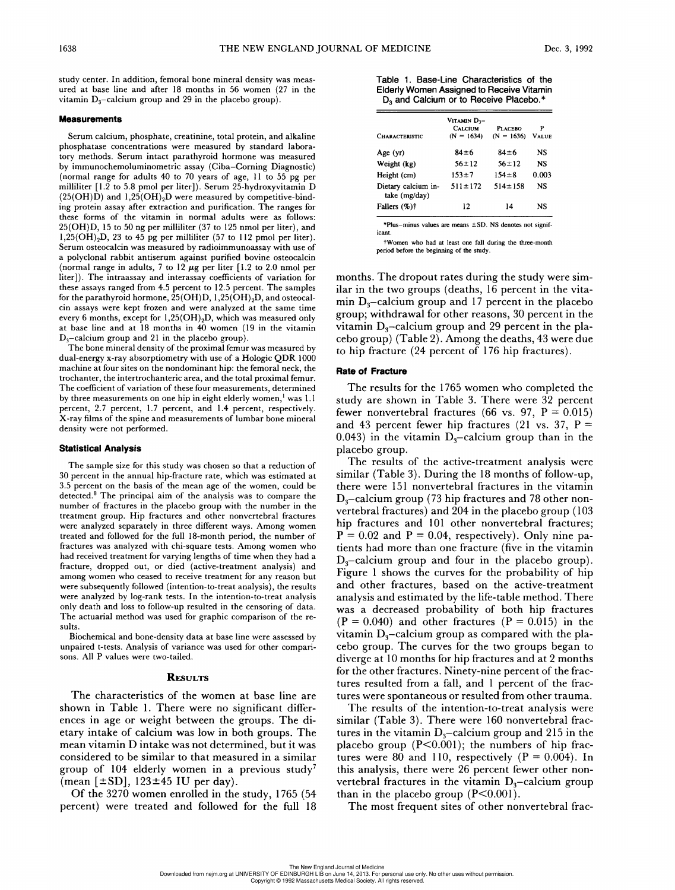study center. In addition, femoral bone mineral density was measured at base line and after 18 months in 56 women (27 in the vitamin  $D_3$ -calcium group and 29 in the placebo group).

### **Measurements**

Serum calcium, phosphate, creatinine, total protein, and alkaline phosphatase concentrations were measured by standard laboratory methods. Serum intact parathyroid hormone was measured by immunochemoluminometric assay (Ciba—Corning Diagnostic) (normal range for adults 40 to 70 years of age, 11 to 55 pg per milliliter [1.2 to 5.8 pmol per liter]). Serum 25-hydroxyvitamin D  $(25(OH)\dot{D})$  and  $1,25(OH)\dot{2}D$  were measured by competitive-binding protein assay after extraction and purification. The ranges for these forms of the vitamin in normal adults were as follows: 25(OH)D, 15 to 50 ng per milliliter (37 to 125 nmol per liter), and  $1,25(OH)<sub>2</sub>D$ , 23 to 45 pg per milliliter (57 to 112 pmol per liter). Serum osteocalcin was measured by radioimmunoassay with use of a polyclonal rabbit antiserum against purified bovine osteocalcin (normal range in adults, 7 to 12  $\mu$ g per liter [1.2 to 2.0 nmol per liter]). The intraassay and interassay coefficients of variation for these assays ranged from 4.5 percent to 12.5 percent. The samples for the parathyroid hormone,  $25(OH)D$ ,  $1,25(OH)_2D$ , and osteocalcin assays were kept frozen and were analyzed at the same time every 6 months, except for 1,25(OH),D, which was measured only at base line and at 18 months in 40 women (19 in the vitamin  $D_3$ -calcium group and 21 in the placebo group).

The bone mineral density of the proximal femur was measured by dual-energy x-ray absorptiometry with use of a Hologic QDR 1000 machine at four sites on the nondominant hip: the femoral neck, the trochanter, the intertrochanteric area, and the total proximal femur. The coefficient of variation of these four measurements, determined by three measurements on one hip in eight elderly women,<sup>1</sup> was 1.1 percent, 2.7 percent, 1.7 percent, and 1.4 percent, respectively. X-ray films of the spine and measurements of lumbar bone mineral density were not performed.

#### Statistical Analysis

The sample size for this study was chosen so that a reduction of 30 percent in the annual hip-fracture rate, which was estimated at 3.5 percent on the basis of the mean age of the women, could be detected.® The principal aim of the analysis was to compare the number of fractures in the placebo group with the number in the treatment group. Hip fractures and other nonvertebral fractures were analyzed separately in three different ways. Among women treated and followed for the full 18-month period, the number of fractures was analyzed with chi-square tests. Among women who had received treatment for varying lengths of time when they had a fracture, dropped out, or died (active-treatment analysis) and among women who ceased to receive treatment for any reason but were subsequently followed (intention-to-treat analysis), the results were analyzed by log-rank tests. In the intention-to-treat analysis only death and loss to follow-up resulted in the censoring of data. The actuarial method was used for graphic comparison of the results.

Biochemical and bone-density data at base line were assessed by unpaired t-tests. Analysis of variance was used for other comparisons. All P values were two-tailed.

#### **RESULTS**

The characteristics of the women at base line are shown in Table 1. There were no significant differences in age or weight between the groups. The dietary intake of calcium was low in both groups. The mean vitamin D intake was not determined, but it was considered to be similar to that measured in a similar group of 104 elderly women in a previous study' (mean  $[\pm SD]$ , 123 $\pm 45$  IU per day).

Of the 3270 women enrolled in the study, 1765 (54 percent) were treated and followed for the full 18

| <b>MEDICINE</b>                                                                                                                              | Dι |
|----------------------------------------------------------------------------------------------------------------------------------------------|----|
| Table 1. Base-Line Characteristics of the<br>Elderly Women Assigned to Receive Vitamin<br>D <sub>3</sub> and Calcium or to Receive Placebo.* |    |

| <b>F MEDICINE</b>                                                                                                                                   |                               |                    | Dе        |
|-----------------------------------------------------------------------------------------------------------------------------------------------------|-------------------------------|--------------------|-----------|
| Table 1. Base-Line Characteristics of the<br><b>Elderly Women Assigned to Receive Vitamin</b><br>D <sub>3</sub> and Calcium or to Receive Placebo.* |                               |                    |           |
|                                                                                                                                                     | Vitamin D3-<br><b>CALCIUM</b> | <b>PLACEBO</b>     | P         |
| <b>CHARACTERISTIC</b>                                                                                                                               | $(N = 1634)$                  | $(N = 1636)$ Value |           |
| Age (yr)                                                                                                                                            | 84±6                          | 84±6               | <b>NS</b> |
| Weight (kg)                                                                                                                                         | $56 \pm 12$                   | $56 \pm 12$        | NS        |
| Height (cm)                                                                                                                                         | $153 + 7$                     | $154 \pm 8$        | 0.003     |
| Dietary calcium in-<br>take (mg/day)                                                                                                                | $511 \pm 172$                 | $514 \pm 158$      | NS        |
| Fallers (%)†                                                                                                                                        | 12                            | 14                 | NS        |

values are means  $\pm$  SD. NS denotes not significant.

tWomen who had at least one fall during the three-month period before the beginning of the study.

months. The dropout rates during the study were similar in the two groups (deaths, 16 percent in the vitamin  $D_3$ –calcium group and 17 percent in the placebo group; withdrawal for other reasons, 30 percent in the vitamin  $D_3$ -calcium group and 29 percent in the placebo group) (Table 2). Among the deaths, 43 were due to hip fracture (24 percent of 176 hip fractures).

## Rate of Fracture

The results for the 1765 women who completed the study are shown in Table 3. There were 32 percent fewer nonvertebral fractures (66 vs. 97,  $P = 0.015$ ) and 43 percent fewer hip fractures (21 vs. 37,  $P =$ 0.043) in the vitamin  $D_3$ -calcium group than in the placebo group.

The results of the active-treatment analysis were similar (Table 3). During the 18 months of follow-up, there were 151 nonvertebral fractures in the vitamin  $D_{3}$ –calcium group (73 hip fractures and 78 other nonvertebral fractures) and 204 in the placebo group (103 hip fractures and 101 other nonvertebral fractures;  $P = 0.02$  and  $P = 0.04$ , respectively). Only nine patients had more than one fracture (five in the vitamin  $D_3$ -calcium group and four in the placebo group). Figure 1 shows the curves for the probability of hip and other fractures, based on the active-treatment analysis and estimated by the life-table method. There was a decreased probability of both hip fractures  $(P = 0.040)$  and other fractures  $(P = 0.015)$  in the vitamin  $D_3$ -calcium group as compared with the placebo group. The curves for the two groups began to diverge at 10 months for hip fractures and at 2 months for the other fractures. Ninety-nine percent of the fractures resulted from a fall, and 1 percent of the fractures were spontaneous or resulted from other trauma.

The results of the intention-to-treat analysis were similar (Table 3). There were 160 nonvertebral fractures in the vitamin  $D_3$ —calcium group and 215 in the placebo group  $(P<0.001)$ ; the numbers of hip fractures were 80 and 110, respectively  $(P = 0.004)$ . In this analysis, there were 26 percent fewer other nonvertebral fractures in the vitamin  $D_3$ -calcium group than in the placebo group  $(P<0.001)$ .

The most frequent sites of other nonvertebral frac-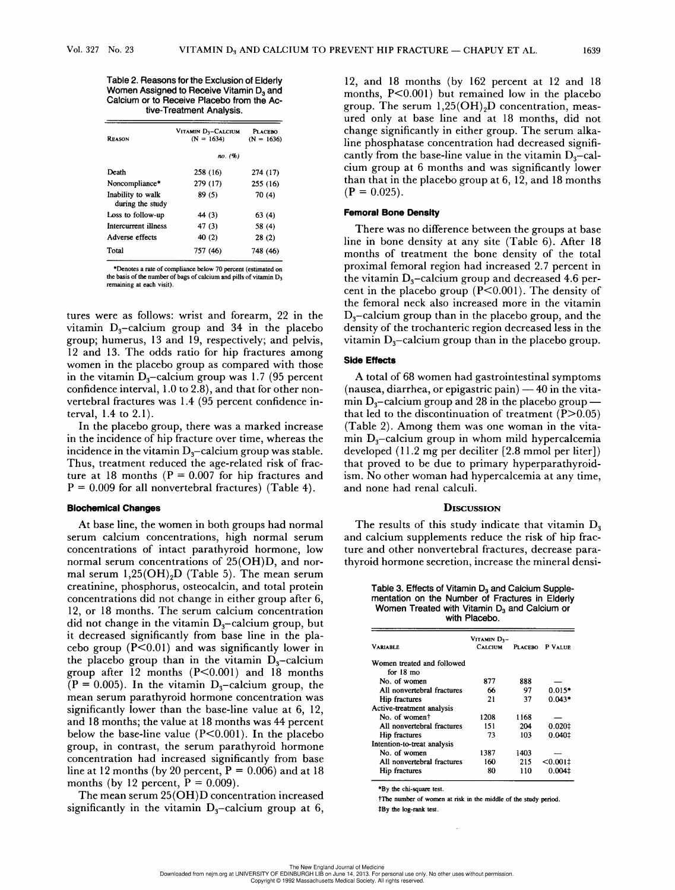Table 2. Reasons for the Exclusion of Elderly Women Assigned to Receive Vitamin D<sub>3</sub> and Calcium or to Receive Placebo from the Ac- No. 23<br>
Table 2. Reasons for the<br>
Women Assigned to Reacive<br>
Calcium or to Receive<br>
tive-Treatmen tive-Treatment Analysis.

| Women Assigned to Receive Vitamin D <sub>3</sub> and<br>Calcium or to Receive Placebo from the Ac-<br>tive-Treatment Analysis. |                                    |                                |  |  |
|--------------------------------------------------------------------------------------------------------------------------------|------------------------------------|--------------------------------|--|--|
| <b>REASON</b>                                                                                                                  | Vitamin D3-Calcium<br>$(N = 1634)$ | <b>PLACEBO</b><br>$(N = 1636)$ |  |  |
|                                                                                                                                | no. (%)                            |                                |  |  |
| Death                                                                                                                          | 258 (16)                           | 274 (17)                       |  |  |
| Noncompliance*                                                                                                                 | 279 (17)                           | 255 (16)                       |  |  |
| Inability to walk<br>during the study                                                                                          | 89 (5)                             | 70 (4)                         |  |  |
| Loss to follow-up                                                                                                              | 44 (3)                             | 63 (4)                         |  |  |
| Intercurrent illness                                                                                                           | 47 (3)                             | 58 (4)                         |  |  |
| Adverse effects                                                                                                                | 40(2)                              | 28 (2)                         |  |  |
| Total                                                                                                                          | 757 (46)                           | 748 (46)                       |  |  |

\*Denotes a rate of compliance below 70 percent (estimated on the basis of the number of bags of calcium and pills of vitamin D; remaining at each visit).

tures were as follows: wrist and forearm, 22 in the vitamin  $D_3$ -calcium group and 34 in the placebo group; humerus, 13 and 19, respectively; and pelvis, 12 and 13. The odds ratio for hip fractures among women in the placebo group as compared with those in the vitamin  $D_3$ —calcium group was 1.7 (95 percent confidence interval, 1.0 to 2.8), and that for other nonvertebral fractures was 1.4 (95 percent confidence interval, 1.4 to 2.1).

In the placebo group, there was a marked increase in the incidence of hip fracture over time, whereas the incidence in the vitamin  $D_3$ —calcium group was stable. Thus, treatment reduced the age-related risk of fracture at 18 months ( $P = 0.007$  for hip fractures and  $P = 0.009$  for all nonvertebral fractures) (Table 4).

## Biochemical Changes

At base line, the women in both groups had normal serum calcium concentrations, high normal serum concentrations of intact parathyroid hormone, low normal serum concentrations of 25(OH)D, and normal serum  $1,25(OH)_2D$  (Table 5). The mean serum creatinine, phosphorus, osteocalcin, and total protein concentrations did not change in either group after 6, 12, or 18 months. The serum calcium concentration did not change in the vitamin  $D_3$ –calcium group, but it decreased significantly from base line in the placebo group  $(P<0.01)$  and was significantly lower in the placebo group than in the vitamin  $D_3$ -calcium group after 12 months  $(P<0.001)$  and 18 months  $\bar{P} = 0.005$ . In the vitamin D<sub>3</sub>-calcium group, the mean serum parathyroid hormone concentration was significantly lower than the base-line value at 6, 12, and 18 months; the value at 18 months was 44 percent below the base-line value (P<0.001). In the placebo group, in contrast, the serum parathyroid hormone concentration had increased significantly from base line at 12 months (by 20 percent,  $P = 0.006$ ) and at 18 months (by 12 percent,  $P = 0.009$ ).

The mean serum 25(OH)D concentration increased significantly in the vitamin  $D_3$ -calcium group at 6,

12, and 18 months (by 162 percent at 12 and 18 months, P<0.001) but remained low in the placebo group. The serum  $1,25(OH)<sub>2</sub>D$  concentration, measured only at base line and at 18 months, did not change significantly in either group. The serum alkaline phosphatase concentration had decreased significantly from the base-line value in the vitamin  $D_3$ -calcium group at 6 months and was significantly lower than that in the placebo group at 6, 12, and 18 months  $(P = 0.025)$ .

## Femoral Bone Density

There was no difference between the groups at base line in bone density at any site (Table 6). After 18 months of treatment the bone density of the total proximal femoral region had increased 2.7 percent in the vitamin  $D_3$ –calcium group and decreased 4.6 percent in the placebo group  $(P<0.001)$ . The density of the femoral neck also increased more in the vitamin  $D_3$ -calcium group than in the placebo group, and the density of the trochanteric region decreased less in the vitamin  $D_3$ –calcium group than in the placebo group.

## Side Effects

A total of 68 women had gastrointestinal symptoms (nausea, diarrhea, or epigastric pain) — 40 in the vitamin  $D_3$ –calcium group and 28 in the placebo group – that led to the discontinuation of treatment  $(P>0.05)$ (Table 2). Among them was one woman in the vitamin  $D_3$ -calcium group in whom mild hypercalcemia developed (11.2 mg per deciliter [2.8 mmol per liter]) that proved to be due to primary hyperparathyroidism. No other woman had hypercalcemia at any time, and none had renal calculi.  $D_3$ —calcium group in<br>
D<sub>3</sub>—calcium group in<br>
pped (11.2 mg per dee<br>
roved to be due to p<br>
No other woman had l<br>
one had renal calculi<br> **DISCU**<br>
PISCU<br>
PISCU<br>
PISCU<br>
RIGHT DISCU<br>
RIGHT DISCU<br>
RIGHT DISCU<br>
MORE SALE SALE

## **DISCUSSION**

The results of this study indicate that vitamin  $D_3$ and calcium supplements reduce the risk of hip fracture and other nonvertebral fractures, decrease parathyroid hormone secretion, increase the mineral dens!-

| Table 3. Effects of Vitamin D <sub>3</sub> and Calcium Supple- |
|----------------------------------------------------------------|
| mentation on the Number of Fractures in Elderly                |
| Women Treated with Vitamin D <sub>3</sub> and Calcium or       |
| with Placebo.                                                  |

| Table 3. Effects of Vitamin D <sub>3</sub> and Calcium Supple-<br>mentation on the Number of Fractures in Elderly<br>Women Treated with Vitamin D <sub>3</sub> and Calcium or<br>with Placebo. |                          |          |             |  |  |
|------------------------------------------------------------------------------------------------------------------------------------------------------------------------------------------------|--------------------------|----------|-------------|--|--|
|                                                                                                                                                                                                | VITAMIN D <sub>3</sub> - |          |             |  |  |
| <b>VARIABLE</b>                                                                                                                                                                                | <b>CALCIUM</b>           | PLACERO. | P VALUE     |  |  |
| Women treated and followed<br>for 18 mo                                                                                                                                                        |                          |          |             |  |  |
| No. of women                                                                                                                                                                                   | 877                      | 888      |             |  |  |
| All nonvertebral fractures                                                                                                                                                                     | 66                       | 97       | $0.015*$    |  |  |
| Hip fractures                                                                                                                                                                                  | 21                       | 37       | $0.043*$    |  |  |
| Active-treatment analysis                                                                                                                                                                      |                          |          |             |  |  |
| No. of woment                                                                                                                                                                                  | 1208                     | 1168     |             |  |  |
| All nonvertebral fractures                                                                                                                                                                     | 151                      | 204      | 0.0201      |  |  |
| Hip fractures                                                                                                                                                                                  | 73                       | 103      | 0.040‡      |  |  |
| Intention-to-treat analysis                                                                                                                                                                    |                          |          |             |  |  |
| No. of women                                                                                                                                                                                   | 1387                     | 1403     |             |  |  |
| All nonvertebral fractures                                                                                                                                                                     | 160                      | 215      | $< 0.001$ ‡ |  |  |
| Hip fractures                                                                                                                                                                                  | 80                       | 110      | $0.004$ ‡   |  |  |

\*By the chi-square test.

+The number of women at risk in the middle of the study period. tBy the log-rank test.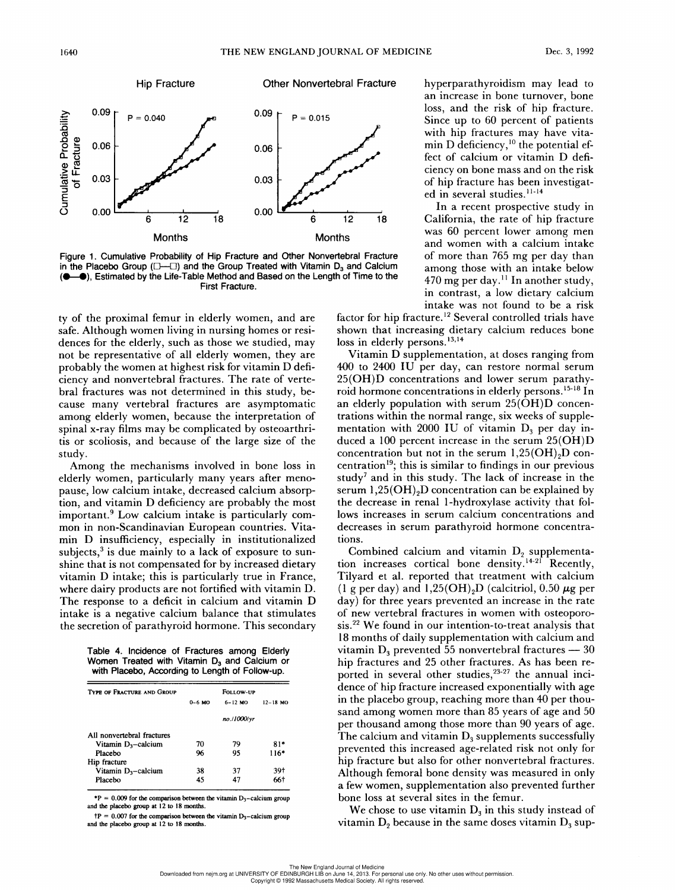

Figure 1. Cumulative Probability of Hip Fracture and Other Nonvertebral Fracture in the Placebo Group ( $\square$ ) and the Group Treated with Vitamin D<sub>3</sub> and Calcium (@—@®), Estimated by the Life-Table Method and Based on the Length of Time to the First Fracture.

ty of the proximal femur in elderly women, and are safe. Although women living in nursing homes or residences for the elderly, such as those we studied, may not be representative of all elderly women, they are probably the women at highest risk for vitamin D deficiency and nonvertebral fractures. The rate of vertebral fractures was not determined in this study, be-Cause many vertebral fractures are asymptomatic among elderly women, because the interpretation of spinal x-ray films may be complicated by osteoarthritis or scoliosis, and because of the large size of the study.

Among the mechanisms involved in bone loss in elderly women, particularly many years after menopause, low calcium intake, decreased calcium absorption, and vitamin D deficiency are probably the most important.<sup>9</sup> Low calcium intake is particularly common in non-Scandinavian European countries. Vitamin D insufficiency, especially in institutionalized subjects, $3$  is due mainly to a lack of exposure to sunshine that is not compensated for by increased dietary vitamin D intake; this is particularly true in France, where dairy products are not fortified with vitamin D. The response to a deficit in calcium and vitamin D intake is a negative calcium balance that stimulates the secretion of parathyroid hormone. This secondary Now calcium intake,<br>
tant.<sup>9</sup> Low calcium intake,<br>
tant.<sup>9</sup> Low calcium in<br>
n non-Scandinavian<br>
D insufficiency, espects,<sup>3</sup> is due mainly to<br>
that is not compensat<br>
in D intake; this is p<br>
dairy products are nesponse to

Table 4. Incidence of Fractures among Elderly Women Treated with Vitamin  $D_3$  and Calcium or with Placebo, According to Length of Follow-up.

| response to a deficit in calcium and vitam<br>e is a negative calcium balance that stimu<br>ecretion of parathyroid hormone. This secor<br>Table 4. Incidence of Fractures among Elderly |          |             |              |
|------------------------------------------------------------------------------------------------------------------------------------------------------------------------------------------|----------|-------------|--------------|
| Women Treated with Vitamin D <sub>3</sub> and Calcium or<br>with Placebo, According to Length of Follow-up.<br><b>TYPE OF FRACTURE AND GROUP</b>                                         |          | FOLLOW-UP   |              |
|                                                                                                                                                                                          | $0-6$ MO | $6 - 12$ MO | $12 - 18$ MO |
|                                                                                                                                                                                          |          |             |              |
|                                                                                                                                                                                          |          | no./1000/yr |              |
| All nonvertebral fractures                                                                                                                                                               |          |             |              |
| Vitamin D <sub>3</sub> -calcium                                                                                                                                                          | 70       | 79          | $81*$        |
| Placebo                                                                                                                                                                                  | 96       | 95          | $116*$       |
| Hip fracture                                                                                                                                                                             |          |             |              |
| Vitamin $D_3$ -calcium                                                                                                                                                                   | 38       | 37          | 39†          |

\*P =  $0.009$  for the comparison between the vitamin  $D_3$ -calcium group and the placebo group at 12 to 18 months.

 $\text{tP} = 0.007$  for the comparison between the vitamin D<sub>3</sub>-calcium group and the placebo group at 12 to 18 months.

hyperparathyroidism may lead to an increase in bone turnover, bone loss, and the risk of hip fracture. fect of calcium or vitamin D defi-Bs 0.087 0.03 F of hip fracture has been investigat ed in several studies.<sup>11-14</sup>

> and women with a calcium intake of more than 765 mg per day than among those with an intake below 470 mg per day.'' In another study, in contrast, a low dietary calcium intake was not found to be a risk

factor for hip fracture.<sup>12</sup> Several controlled trials have shown that increasing dietary calcium reduces bone loss in elderly persons. $13,14$ 

Vitamin D supplementation, at doses ranging from 400 to 2400 IU per day, can restore normal serum 25(OH)D concentrations and lower serum parathyroid hormone concentrations in elderly persons.<sup>15-18</sup> In an elderly population with serum 25(OH)D concentrations within the normal range, six weeks of supplementation with 2000 IU of vitamin  $D_3$  per day induced a 100 percent increase in the serum 25(OH)D concentration but not in the serum  $1,25(OH),D$  concentration<sup>19</sup>; this is similar to findings in our previous study' and in this study. The lack of increase in the serum  $1,25(OH)$ <sub>2</sub>D concentration can be explained by the decrease in renal 1-hydroxylase activity that follows increases in serum calcium concentrations and decreases in serum parathyroid hormone concentrations.

Combined calcium and vitamin  $D_2$  supplementation increases cortical bone density.<sup>14-21</sup> Recently, Tilyard et al. reported that treatment with calcium (1 g per day) and  $1,25(OH)_2D$  (calcitriol, 0.50  $\mu$ g per day) for three years prevented an increase in the rate of new vertebral fractures in women with osteoporosis.<sup>22</sup> We found in our intention-to-treat analysis that 18 months of daily supplementation with calcium and vitamin  $D_3$  prevented 55 nonvertebral fractures  $-30$ hip fractures and 25 other fractures. As has been reported in several other studies.<sup>23-27</sup> the annual inci dence of hip fracture increased exponentially with age in the placebo group, reaching more than 40 per thousand among women more than 85 years of age and 50 per thousand among those more than 90 years of age. The calcium and vitamin  $D_3$  supplements successfully prevented this increased age-related risk not only for hip fracture but also for other nonvertebral fractures. Although femoral bone density was measured in only a few women, supplementation also prevented further bone loss at several sites in the femur.

We chose to use vitamin  $D_3$  in this study instead of vitamin  $D_2$  because in the same doses vitamin  $D_3$  sup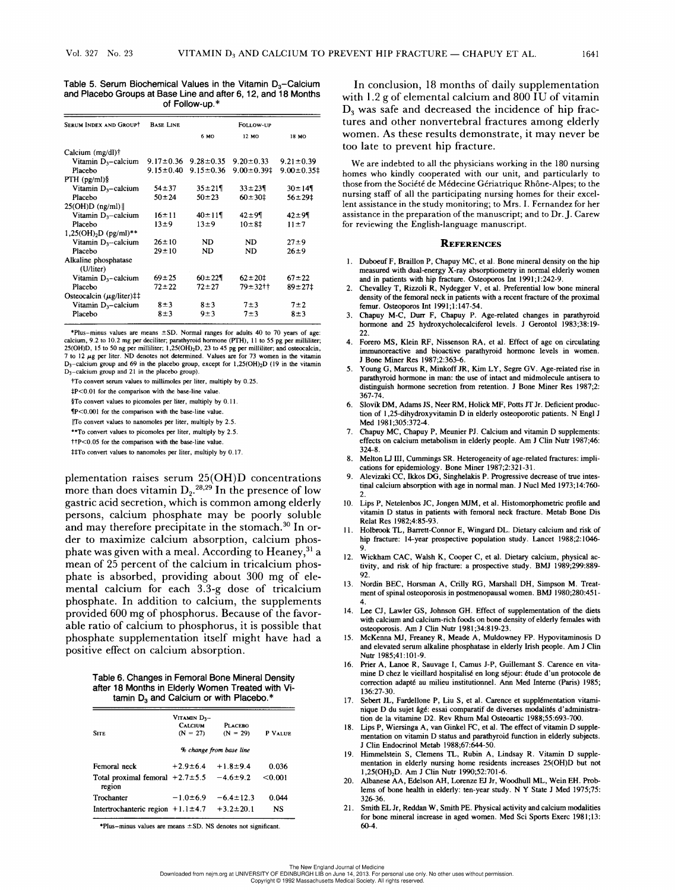Table 5. Serum Biochemical Values in the Vitamin D,—Calcium and Placebo Groups at Base Line and after 6, 12, and 18 Months Vol. 327 No. 23<br>Table 5. Serum Bioc<br>and Placebo Groups Vol. 327 No. 23<br>
Table 5. Serum Biochemical Va<br>
and Placebo Groups at Base Lin<br>
of Follow<br>
of The Collection of Follow-up.\*

| <b>SERUM INDEX AND GROUPT</b>     | <b>BASE LINE</b> | FOLLOW-UP                       |                   |                 |
|-----------------------------------|------------------|---------------------------------|-------------------|-----------------|
|                                   |                  | 6 MO                            | 12 MO             | 18 MO           |
| Calcium (mg/dl)†                  |                  |                                 |                   |                 |
| Vitamin $D_3$ -calcium            |                  | $9.17 \pm 0.36$ $9.28 \pm 0.35$ | $9.20 \pm 0.33$   | $9.21 \pm 0.39$ |
| Placebo                           | $9.15 \pm 0.40$  | $9.15 \pm 0.36$                 | $9.00 \pm 0.39$ ‡ | $9.00 \pm 0.35$ |
| $PTH$ (pg/ml)§                    |                  |                                 |                   |                 |
| Vitamin $D_3$ -calcium            | $54 + 37$        | $35 \pm 21$                     | $33 + 239$        | $30 \pm 14$     |
| Placebo                           | $50 + 24$        | $50 + 23$                       | $60 + 30$ ‡       | $56 + 29$       |
| $25(OH)D$ (ng/ml)                 |                  |                                 |                   |                 |
| Vitamin $D_3$ -calcium            | $16 + 11$        | $40 \pm 11$                     | $42 \pm 9$        | $42 + 99$       |
| Placebo                           | 13±9             | $13\pm9$                        | $10 - 81$         | $11 \pm 7$      |
| $1,25(OH)_{2}D$ (pg/ml)**         |                  |                                 |                   |                 |
| Vitamin $D_3$ -calcium            | $26 \pm 10$      | <b>ND</b>                       | <b>ND</b>         | $27 \pm 9$      |
| Placebo                           | $29 + 10$        | ND                              | <b>ND</b>         | $26 + 9$        |
| Alkaline phosphatase<br>(U/liter) |                  |                                 |                   |                 |
| Vitamin $D_3$ -calcium            | $69 + 25$        | $60 \pm 22$                     | $62 \pm 201$      | $67 + 22$       |
| Placebo                           | $72 + 22$        | $72 + 27$                       | 79±32††           | $89 + 271$      |
| Osteocalcin $(\mu g/liter)$ ##    |                  |                                 |                   |                 |
| Vitamin D <sub>3</sub> -calcium   | $8\pm3$          | $8\pm3$                         | $7\pm3$           | $7\pm2$         |
| Placebo                           | $8\pm3$          | 9±3                             | $7\pm3$           | 8±3             |

\*Plus-minus values are means  $\pm$ SD. Normal ranges for adults 40 to 70 years of age: calcium, 9.2 to 10.2 mg per deciliter; parathyroid hormone (PTH), 11 to 55 pg per milliliter;<br>25(OH)D, 15 to 50 ng per milliliter; 1,25(OH)2D, 23 to 45 pg per milliliter; and osteocalcin.  $7$  to 12  $\mu$ g per liter. ND denotes not determined. Values are for 73 women in the vitamin  $D_3$ -calcium group and 69 in the placebo group, except for  $1,25(OH)_2D$  (19 in the vitamin D3—calcium group and 21 in the placebo group).

tTo convert serum values to millimoles per liter, multiply by 0.25.

+P<0.0! for the comparison with the base-line value.

§To convert values to picomoles per liter, multiply by 0.11.

{P<0.001 for the comparison with the base-line value.

|To convert values to nanomoles per liter, multiply by 2.5.

\*\*To convert values to picomoles per liter, multiply by 2.5.

ttP<0.05 for the comparison with the base-line value. ttTo convert values to nanomoles per liter, multiply by 0.17.

plementation raises serum 25(OH)D concentrations more than does vitamin  $D_2$ <sup>28,29</sup> In the presence of low gastric acid secretion, which is common among elderly persons, calcium phosphate may be poorly soluble and may therefore precipitate in the stomach.<sup>30</sup> In order to maximize calcium absorption, calcium phosphate was given with a meal. According to Heaney,  $31$  a mean of 25 percent of the calcium in tricalcium phosphate is absorbed, providing about 300 mg of elemental calcium for each 3.3-g dose of tricalcium phosphate. In addition to calcium, the supplements provided 600 mg of phosphorus. Because of the favorable ratio of calcium to phosphorus, it is possible that phosphate supplementation itself might have had a positive effect on calcium absorption. ns, calcium phospha<br>nay therefore precipital<br>nay therefore precipital<br>naximize calcium a<br>was given with a mea<br>of 25 percent of the c<br>is absorbed, provid<br>al calcium for each<br>hate. In addition to be<br>thate. In addition to ph

|  | Table 6. Changes in Femoral Bone Mineral Density   |  |  |
|--|----------------------------------------------------|--|--|
|  | after 18 Months in Elderly Women Treated with Vi-  |  |  |
|  | tamin D <sub>2</sub> and Calcium or with Placebo.* |  |  |

| ratio of calcium to phosphorus, it is possibl<br>phate supplementation itself might have l<br>ive effect on calcium absorption.                             |                                     |                                       |         |  |
|-------------------------------------------------------------------------------------------------------------------------------------------------------------|-------------------------------------|---------------------------------------|---------|--|
| Table 6. Changes in Femoral Bone Mineral Density<br>after 18 Months in Elderly Women Treated with Vi-<br>tamin D <sub>3</sub> and Calcium or with Placebo.* |                                     |                                       |         |  |
|                                                                                                                                                             | Vitamin D <sub>1</sub> -<br>CALCIUM | PLACERO                               |         |  |
| <b>SITE</b>                                                                                                                                                 | $(N = 27)$                          | $(N = 29)$<br>% change from base line | P VALUE |  |
| Femoral neck                                                                                                                                                | $+2.9 \pm 6.4$                      | $+1.8 - 9.4$                          | 0.036   |  |
| Total proximal femoral $+2.7 \pm 5.5$<br>region                                                                                                             |                                     | $-4.6 \pm 9.2$                        | < 0.001 |  |
| Trochanter                                                                                                                                                  | $-1.0\pm 6.9$                       | $-6.4 \pm 12.3$                       | 0.044   |  |
| Intertrochanteric region $+1.1 \pm 4.7$                                                                                                                     |                                     | $+3.2 \pm 20.1$                       | NS.     |  |

\*Plus-minus values are means  $\pm$  SD. NS denotes not significant.

In conclusion, 18 months of daily supplementation with 1.2 g of elemental calcium and 800 IU of vitamin D, was safe and decreased the incidence of hip fractures and other nonvertebral fractures among elderly women. As these results demonstrate, it may never be too late to prevent hip fracture.

We are indebted to all the physicians working in the 180 nursing homes who kindly cooperated with our unit, and particularly to those from the Société de Médecine Gériatrique Rhône-Alpes; to the nursing staff of all the participating nursing homes for their excellent assistance in the study monitoring; to Mrs. I. Fernandez for her assistance in the preparation of the manuscript; and to Dr. J. Carew for reviewing the English-language manuscript.

#### **REFERENCES**

- 1. Duboeuf F, Braillon P, Chapuy MC, et al. Bone mineral density on the hip measured with dual-energy X-ray absorptiometry in normal elderly women and in patients with hip fracture. Osteoporos Int 1991;1:242-9.
- 2. Chevalley T, Rizzoli R, Nydegger V, et al. Preferential low bone mineral density of the femoral neck in patients with a recent fracture of the proximal femur. Osteoporos Int 1991;1:147-54.
- 3. Chapuy M-C, Durr F, Chapuy P. Age-related changes in parathyroid hormone and 25 hydroxycholecalciferol levels. J Gerontol 1983;38:19-22.
- 4. Forero MS, Klein RF, Nissenson RA, et al. Effect of age on circulating immunoreactive and bioactive parathyroid hormone levels in women. J Bone Miner Res 1987;2:363-6.
- 5. Young G, Marcus R, Minkoff JR, Kim LY, Segre GV. Age-related rise in parathyroid hormone in man: the use of intact and midmolecule antisera to distinguish hormone secretion from retention. J Bone Miner Res 1987;2: 367-74.
- 6. Slovik DM, Adams JS, Neer RM, Holick MF, Potts JT Jr. Deficient production of 1,25-dihydroxyvitamin D in elderly osteoporotic patients. N Engl J Med 1981;305:372-4.
- 7. Chapuy MC, Chapuy P, Meunier PJ. Calcium and vitamin D supplements: effects on calcium metabolism in elderly people. Am J Clin Nutr 1987;46: 324-8.
- 8. Melton LJ III, Cummings SR. Heterogeneity of age-related fractures: implications for epidemiology. Bone Miner 1987;2:321-31.
- 9. Alevizaki CC, Ikkos DG, Singhelakis P. Progressive decrease of true intestinal calcium absorption with age in normal man. J Nucl Med 1973;14:760- 2.
- 10. Lips P, Netelenbos JC, Jongen MJM, et al. Histomorphometric profile and vitamin D status in patients with femoral neck fracture. Metab Bone Dis Relat Res 1982;4:85-93.
- 11. Holbrook TL, Barrett-Connor E, Wingard DL. Dietary calcium and risk of hip fracture: 14-year prospective population study. Lancet 1988;2:1046- 9.
- 12. Wickham CAC, Walsh K, Cooper C, et al. Dietary calcium, physical activity, and risk of hip fracture: a prospective study. BMJ 1989;299:889-  $92.$
- 13. Nordin BEC, Horsman A, Crilly RG, Marshall DH, Simpson M. Treatment of spinal osteoporosis in postmenopausal women. BMJ 1980;280:451- 4.
- 14. Lee CJ, Lawler GS, Johnson GH. Effect of supplementation of the diets with calcium and calcium-rich foods on bone density of elderly females with osteoporosis. Am J Clin Nutr 1981;34:819-23.
- 15. McKenna MJ, Freaney R, Meade A, Muldowney FP. Hypovitaminosis D and elevated serum alkaline phosphatase in elderly Irish people. Am J Clin Nutr 1985;41:101-9.
- 16. Prier A, Lanoe R, Sauvage I, Camus J-P, Guillemant S. Carence en vitamine D chez le vieillard hospitalisé en long séjour: étude d'un protocole de correction adapté au milieu institutionnel. Ann Med Interne (Paris) 1985; 136:27-30.
- 17. Sebert JL, Fardellone P, Liu S, et al. Carence et supplémentation vitaminique D du sujet 4gé: essai comparatif de diverses modalités d'administration de la vitamine D2. Rev Rhum Mal Osteoartic 1988;55:693-700.
- 18. Lips P, Wiersinga A, van Ginkel FC, et al. The effect of vitamin D supplementation on vitamin D status and parathyroid function in elderly subjects. J Clin Endocrinol Metab 1988;67:644-50.
- 19. Himmelstein S, Clemens TL, Rubin A, Lindsay R. Vitamin D supplementation in elderly nursing home residents increases 25(OH)D but not 1,25(OH),D. Am J Clin Nutr 1990;52:701-6.
- 20. Albanese AA, Edelson AH, Lorenze EJ Jr, Woodhull ML, Wein EH. Problems of bone health in elderly: ten-year study. N Y State J Med 1975;75: 326-36.
- 21. Smith EL Jr, Reddan W, Smith PE. Physical activity and calcium modalities for bone mineral increase in aged women. Med Sci Sports Exerc 1981;13: 60-4.

The New England Journal of Medicine<br>Downloaded from nejm.org at UNIVERSITY OF EDINBURGH LIB on June 14, 2013. For personal use only. No other uses without permission.<br>Copyright © 1992 Massachusetts Medical Society. All rig